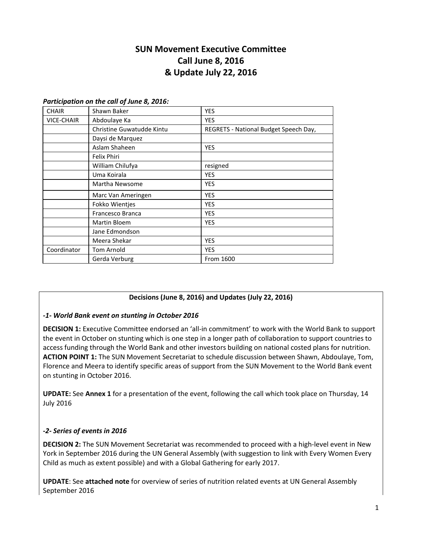# **SUN Movement Executive Committee Call June 8, 2016 & Update July 22, 2016**

#### *Participation on the call of June 8, 2016:*

| <b>CHAIR</b>      | Shawn Baker               | <b>YES</b>                            |
|-------------------|---------------------------|---------------------------------------|
| <b>VICE-CHAIR</b> | Abdoulaye Ka              | <b>YES</b>                            |
|                   | Christine Guwatudde Kintu | REGRETS - National Budget Speech Day, |
|                   | Daysi de Marquez          |                                       |
|                   | Aslam Shaheen             | <b>YES</b>                            |
|                   | Felix Phiri               |                                       |
|                   | William Chilufya          | resigned                              |
|                   | Uma Koirala               | <b>YES</b>                            |
|                   | Martha Newsome            | <b>YES</b>                            |
|                   | Marc Van Ameringen        | <b>YES</b>                            |
|                   | Fokko Wientjes            | <b>YES</b>                            |
|                   | Francesco Branca          | <b>YES</b>                            |
|                   | Martin Bloem              | <b>YES</b>                            |
|                   | Jane Edmondson            |                                       |
|                   | Meera Shekar              | <b>YES</b>                            |
| Coordinator       | <b>Tom Arnold</b>         | <b>YES</b>                            |
|                   | Gerda Verburg             | From 1600                             |

## **Decisions (June 8, 2016) and Updates (July 22, 2016)**

### *-1- World Bank event on stunting in October 2016*

**DECISION 1:** Executive Committee endorsed an 'all-in commitment' to work with the World Bank to support the event in October on stunting which is one step in a longer path of collaboration to support countries to access funding through the World Bank and other investors building on national costed plans for nutrition. **ACTION POINT 1:** The SUN Movement Secretariat to schedule discussion between Shawn, Abdoulaye, Tom, Florence and Meera to identify specific areas of support from the SUN Movement to the World Bank event on stunting in October 2016.

**UPDATE:** See **Annex 1** for a presentation of the event, following the call which took place on Thursday, 14 July 2016

## *-2- Series of events in 2016*

**DECISION 2:** The SUN Movement Secretariat was recommended to proceed with a high-level event in New York in September 2016 during the UN General Assembly (with suggestion to link with Every Women Every Child as much as extent possible) and with a Global Gathering for early 2017.

**UPDATE**: See **attached note** for overview of series of nutrition related events at UN General Assembly September 2016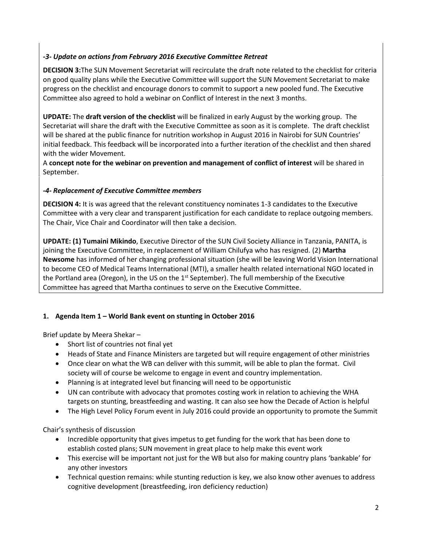# *-3- Update on actions from February 2016 Executive Committee Retreat*

**DECISION 3:**The SUN Movement Secretariat will recirculate the draft note related to the checklist for criteria on good quality plans while the Executive Committee will support the SUN Movement Secretariat to make progress on the checklist and encourage donors to commit to support a new pooled fund. The Executive Committee also agreed to hold a webinar on Conflict of Interest in the next 3 months.

**UPDATE:** The **draft version of the checklist** will be finalized in early August by the working group. The Secretariat will share the draft with the Executive Committee as soon as it is complete. The draft checklist will be shared at the public finance for nutrition workshop in August 2016 in Nairobi for SUN Countries' initial feedback. This feedback will be incorporated into a further iteration of the checklist and then shared with the wider Movement.

A **concept note for the webinar on prevention and management of conflict of interest** will be shared in September.

## *-4- Replacement of Executive Committee members*

**DECISION 4:** It is was agreed that the relevant constituency nominates 1-3 candidates to the Executive Committee with a very clear and transparent justification for each candidate to replace outgoing members. The Chair, Vice Chair and Coordinator will then take a decision.

**UPDATE: (1) Tumaini Mikindo**, Executive Director of the SUN Civil Society Alliance in Tanzania, PANITA, is joining the Executive Committee, in replacement of William Chilufya who has resigned. (2) **Martha Newsome** has informed of her changing professional situation (she will be leaving World Vision International to become CEO of Medical Teams International (MTI), a smaller health related international NGO located in the Portland area (Oregon), in the US on the  $1<sup>st</sup>$  September). The full membership of the Executive Committee has agreed that Martha continues to serve on the Executive Committee.

## **1. Agenda Item 1 – World Bank event on stunting in October 2016**

Brief update by Meera Shekar –

- Short list of countries not final yet
- Heads of State and Finance Ministers are targeted but will require engagement of other ministries
- Once clear on what the WB can deliver with this summit, will be able to plan the format. Civil society will of course be welcome to engage in event and country implementation.
- Planning is at integrated level but financing will need to be opportunistic
- UN can contribute with advocacy that promotes costing work in relation to achieving the WHA targets on stunting, breastfeeding and wasting. It can also see how the Decade of Action is helpful
- The High Level Policy Forum event in July 2016 could provide an opportunity to promote the Summit

Chair's synthesis of discussion

- Incredible opportunity that gives impetus to get funding for the work that has been done to establish costed plans; SUN movement in great place to help make this event work
- This exercise will be important not just for the WB but also for making country plans 'bankable' for any other investors
- Technical question remains: while stunting reduction is key, we also know other avenues to address cognitive development (breastfeeding, iron deficiency reduction)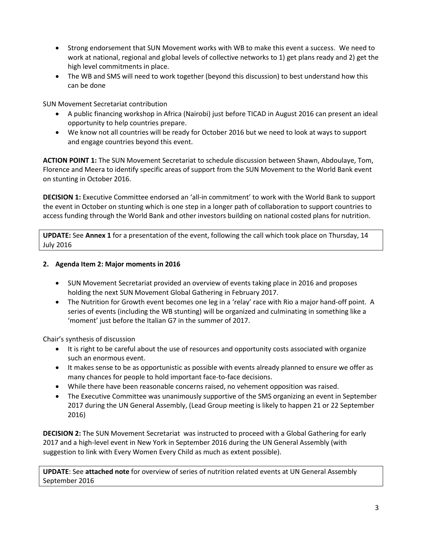- Strong endorsement that SUN Movement works with WB to make this event a success. We need to work at national, regional and global levels of collective networks to 1) get plans ready and 2) get the high level commitments in place.
- The WB and SMS will need to work together (beyond this discussion) to best understand how this can be done

SUN Movement Secretariat contribution

- A public financing workshop in Africa (Nairobi) just before TICAD in August 2016 can present an ideal opportunity to help countries prepare.
- We know not all countries will be ready for October 2016 but we need to look at ways to support and engage countries beyond this event.

**ACTION POINT 1:** The SUN Movement Secretariat to schedule discussion between Shawn, Abdoulaye, Tom, Florence and Meera to identify specific areas of support from the SUN Movement to the World Bank event on stunting in October 2016.

**DECISION 1:** Executive Committee endorsed an 'all-in commitment' to work with the World Bank to support the event in October on stunting which is one step in a longer path of collaboration to support countries to access funding through the World Bank and other investors building on national costed plans for nutrition.

**UPDATE:** See **Annex 1** for a presentation of the event, following the call which took place on Thursday, 14 July 2016

## **2. Agenda Item 2: Major moments in 2016**

- SUN Movement Secretariat provided an overview of events taking place in 2016 and proposes holding the next SUN Movement Global Gathering in February 2017.
- The Nutrition for Growth event becomes one leg in a 'relay' race with Rio a major hand-off point. A series of events (including the WB stunting) will be organized and culminating in something like a 'moment' just before the Italian G7 in the summer of 2017.

Chair's synthesis of discussion

- It is right to be careful about the use of resources and opportunity costs associated with organize such an enormous event.
- It makes sense to be as opportunistic as possible with events already planned to ensure we offer as many chances for people to hold important face-to-face decisions.
- While there have been reasonable concerns raised, no vehement opposition was raised.
- The Executive Committee was unanimously supportive of the SMS organizing an event in September 2017 during the UN General Assembly, (Lead Group meeting is likely to happen 21 or 22 September 2016)

**DECISION 2:** The SUN Movement Secretariat was instructed to proceed with a Global Gathering for early 2017 and a high-level event in New York in September 2016 during the UN General Assembly (with suggestion to link with Every Women Every Child as much as extent possible).

**UPDATE**: See **attached note** for overview of series of nutrition related events at UN General Assembly September 2016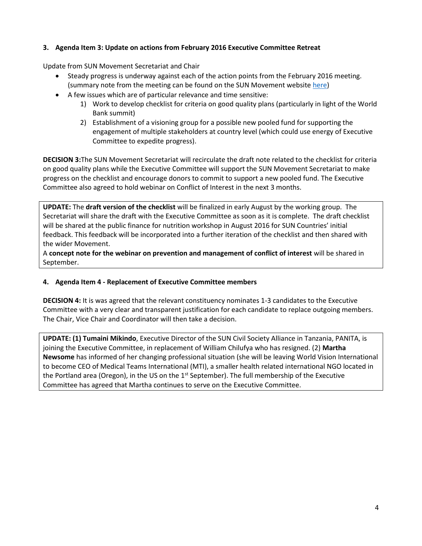## **3. Agenda Item 3: Update on actions from February 2016 Executive Committee Retreat**

Update from SUN Movement Secretariat and Chair

- Steady progress is underway against each of the action points from the February 2016 meeting. (summary note from the meeting can be found on the SUN Movement website [here\)](http://scalingupnutrition.org/wp-content/uploads/2015/11/Summary-Note-Executive-Committee-Retreat-February-2016.pdf)
- A few issues which are of particular relevance and time sensitive:
	- 1) Work to develop checklist for criteria on good quality plans (particularly in light of the World Bank summit)
	- 2) Establishment of a visioning group for a possible new pooled fund for supporting the engagement of multiple stakeholders at country level (which could use energy of Executive Committee to expedite progress).

**DECISION 3:**The SUN Movement Secretariat will recirculate the draft note related to the checklist for criteria on good quality plans while the Executive Committee will support the SUN Movement Secretariat to make progress on the checklist and encourage donors to commit to support a new pooled fund. The Executive Committee also agreed to hold webinar on Conflict of Interest in the next 3 months.

**UPDATE:** The **draft version of the checklist** will be finalized in early August by the working group. The Secretariat will share the draft with the Executive Committee as soon as it is complete. The draft checklist will be shared at the public finance for nutrition workshop in August 2016 for SUN Countries' initial feedback. This feedback will be incorporated into a further iteration of the checklist and then shared with the wider Movement.

A **concept note for the webinar on prevention and management of conflict of interest** will be shared in September.

### **4. Agenda Item 4 - Replacement of Executive Committee members**

**DECISION 4:** It is was agreed that the relevant constituency nominates 1-3 candidates to the Executive Committee with a very clear and transparent justification for each candidate to replace outgoing members. The Chair, Vice Chair and Coordinator will then take a decision.

**UPDATE: (1) Tumaini Mikindo**, Executive Director of the SUN Civil Society Alliance in Tanzania, PANITA, is joining the Executive Committee, in replacement of William Chilufya who has resigned. (2) **Martha Newsome** has informed of her changing professional situation (she will be leaving World Vision International to become CEO of Medical Teams International (MTI), a smaller health related international NGO located in the Portland area (Oregon), in the US on the  $1<sup>st</sup>$  September). The full membership of the Executive Committee has agreed that Martha continues to serve on the Executive Committee.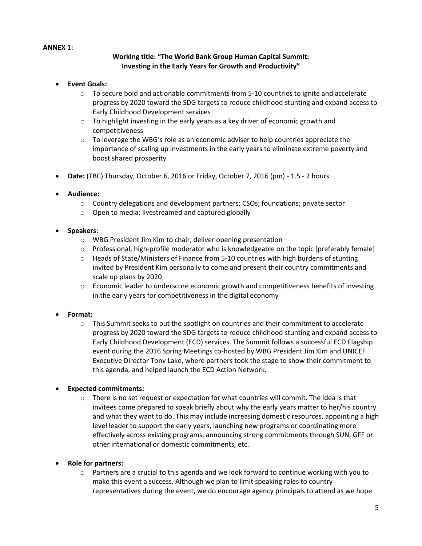### **ANNEX 1:**

## **Working title: "The World Bank Group Human Capital Summit: Investing in the Early Years for Growth and Productivity"**

- **Event Goals:** 
	- $\circ$  To secure bold and actionable commitments from 5-10 countries to ignite and accelerate progress by 2020 toward the SDG targets to reduce childhood stunting and expand access to Early Childhood Development services
	- o To highlight investing in the early years as a key driver of economic growth and competitiveness
	- $\circ$  To leverage the WBG's role as an economic adviser to help countries appreciate the importance of scaling up investments in the early years to eliminate extreme poverty and boost shared prosperity
- **Date:** (TBC) Thursday, October 6, 2016 or Friday, October 7, 2016 (pm) 1.5 2 hours
- **Audience:** 
	- $\circ$  Country delegations and development partners; CSOs; foundations; private sector
	- o Open to media; livestreamed and captured globally
- **Speakers:** 
	- o WBG President Jim Kim to chair, deliver opening presentation
	- $\circ$  Professional, high-profile moderator who is knowledgeable on the topic [preferably female]
	- o Heads of State/Ministers of Finance from 5-10 countries with high burdens of stunting invited by President Kim personally to come and present their country commitments and scale up plans by 2020
	- $\circ$  Economic leader to underscore economic growth and competitiveness benefits of investing in the early years for competitiveness in the digital economy

### **Format:**

 $\circ$  This Summit seeks to put the spotlight on countries and their commitment to accelerate progress by 2020 toward the SDG targets to reduce childhood stunting and expand access to Early Childhood Development (ECD) services. The Summit follows a successful ECD Flagship event during the 2016 Spring Meetings co-hosted by WBG President Jim Kim and UNICEF Executive Director Tony Lake, where partners took the stage to show their commitment to this agenda, and helped launch the ECD Action Network.

### **Expected commitments:**

- $\circ$  There is no set request or expectation for what countries will commit. The idea is that invitees come prepared to speak briefly about why the early years matter to her/his country and what they want to do. This may include increasing domestic resources, appointing a high level leader to support the early years, launching new programs or coordinating more effectively across existing programs, announcing strong commitments through SUN, GFF or other international or domestic commitments, etc.
- **Role for partners:**
	- $\circ$  Partners are a crucial to this agenda and we look forward to continue working with you to make this event a success. Although we plan to limit speaking roles to country representatives during the event, we do encourage agency principals to attend as we hope